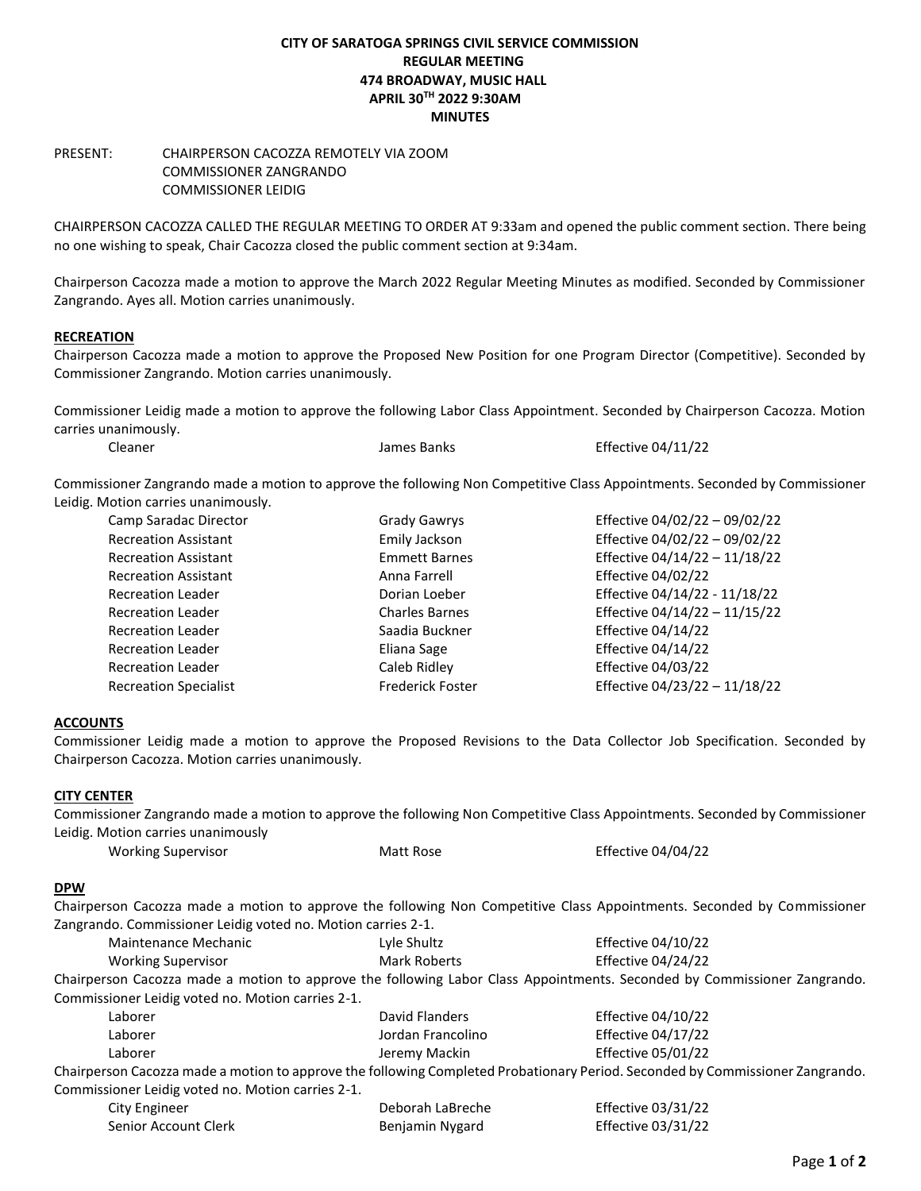## **CITY OF SARATOGA SPRINGS CIVIL SERVICE COMMISSION REGULAR MEETING 474 BROADWAY, MUSIC HALL APRIL 30TH 2022 9:30AM MINUTES**

## PRESENT: CHAIRPERSON CACOZZA REMOTELY VIA ZOOM COMMISSIONER ZANGRANDO COMMISSIONER LEIDIG

CHAIRPERSON CACOZZA CALLED THE REGULAR MEETING TO ORDER AT 9:33am and opened the public comment section. There being no one wishing to speak, Chair Cacozza closed the public comment section at 9:34am.

Chairperson Cacozza made a motion to approve the March 2022 Regular Meeting Minutes as modified. Seconded by Commissioner Zangrando. Ayes all. Motion carries unanimously.

## **RECREATION**

Chairperson Cacozza made a motion to approve the Proposed New Position for one Program Director (Competitive). Seconded by Commissioner Zangrando. Motion carries unanimously.

Commissioner Leidig made a motion to approve the following Labor Class Appointment. Seconded by Chairperson Cacozza. Motion carries unanimously.

| Cleaner | James Banks | <b>Effective 04/11/22</b> |
|---------|-------------|---------------------------|
|         |             |                           |

Commissioner Zangrando made a motion to approve the following Non Competitive Class Appointments. Seconded by Commissioner Leidig. Motion carries unanimously.

| Camp Saradac Director        | <b>Grady Gawrys</b>   | Effective 04/02/22 - 09/02/22 |
|------------------------------|-----------------------|-------------------------------|
| <b>Recreation Assistant</b>  | Emily Jackson         | Effective 04/02/22 - 09/02/22 |
| <b>Recreation Assistant</b>  | <b>Emmett Barnes</b>  | Effective 04/14/22 - 11/18/22 |
| <b>Recreation Assistant</b>  | Anna Farrell          | <b>Effective 04/02/22</b>     |
| <b>Recreation Leader</b>     | Dorian Loeber         | Effective 04/14/22 - 11/18/22 |
| <b>Recreation Leader</b>     | <b>Charles Barnes</b> | Effective 04/14/22 - 11/15/22 |
| <b>Recreation Leader</b>     | Saadia Buckner        | <b>Effective 04/14/22</b>     |
| <b>Recreation Leader</b>     | Eliana Sage           | <b>Effective 04/14/22</b>     |
| <b>Recreation Leader</b>     | Caleb Ridley          | <b>Effective 04/03/22</b>     |
| <b>Recreation Specialist</b> | Frederick Foster      | Effective 04/23/22 - 11/18/22 |

# **ACCOUNTS**

Commissioner Leidig made a motion to approve the Proposed Revisions to the Data Collector Job Specification. Seconded by Chairperson Cacozza. Motion carries unanimously.

### **CITY CENTER**

Commissioner Zangrando made a motion to approve the following Non Competitive Class Appointments. Seconded by Commissioner Leidig. Motion carries unanimously

| <b>Working Supervisor</b> | Matt Rose | Effective 04/04/22 |
|---------------------------|-----------|--------------------|
|---------------------------|-----------|--------------------|

### **DPW**

Chairperson Cacozza made a motion to approve the following Non Competitive Class Appointments. Seconded by Commissioner Zangrando. Commissioner Leidig voted no. Motion carries 2-1.

| Maintenance Mechanic                                                                                                     | Lyle Shultz  | Effective 04/10/22 |  |
|--------------------------------------------------------------------------------------------------------------------------|--------------|--------------------|--|
| Working Supervisor                                                                                                       | Mark Roberts | Effective 04/24/22 |  |
| Chairperson Cacozza made a motion to approve the following Labor Class Appointments. Seconded by Commissioner Zangrando. |              |                    |  |
| Commissioner Leidig voted no Motion carries 2-1                                                                          |              |                    |  |

| Laborer                                           | David Flanders    | Effective 04/10/22                                                                                                            |
|---------------------------------------------------|-------------------|-------------------------------------------------------------------------------------------------------------------------------|
| Laborer                                           | Jordan Francolino | Effective 04/17/22                                                                                                            |
| Laborer                                           | Jeremy Mackin     | Effective 05/01/22                                                                                                            |
|                                                   |                   | Chairperson Cacozza made a motion to approve the following Completed Probationary Period. Seconded by Commissioner Zangrando. |
| Commissioner Leidig voted no. Motion carries 2-1. |                   |                                                                                                                               |
| $C1$ $\vdots$ $Cn$ $\ldots$                       | Dohoroh LoDrocho  | $Fff$ <sub>astive</sub> 02/21/22                                                                                              |

| City Engineer        | Deborah LaBreche | Effective $03/31/22$ |
|----------------------|------------------|----------------------|
| Senior Account Clerk | Benjamin Nygard  | Effective 03/31/22   |